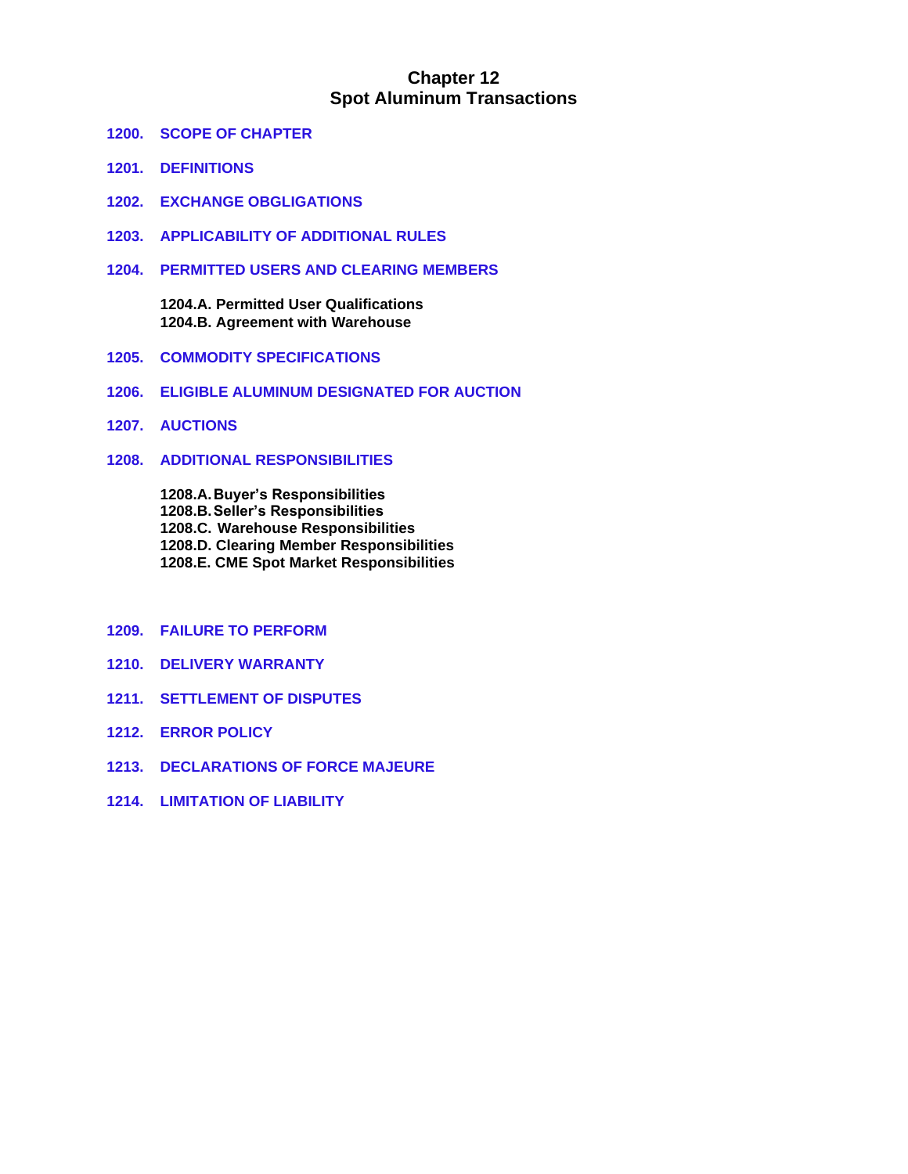# **Chapter 12 Spot Aluminum Transactions**

- **1200. SCOPE OF CHAPTER**
- **1201. DEFINITIONS**
- **1202. EXCHANGE OBGLIGATIONS**
- **1203. APPLICABILITY OF ADDITIONAL RULES**
- **1204. PERMITTED USERS AND CLEARING MEMBERS**

**1204.A. Permitted User Qualifications 1204.B. Agreement with Warehouse**

- **1205. COMMODITY SPECIFICATIONS**
- **1206. ELIGIBLE ALUMINUM DESIGNATED FOR AUCTION**
- **1207. AUCTIONS**
- **1208. ADDITIONAL RESPONSIBILITIES**

**1208.A.Buyer's Responsibilities 1208.B.Seller's Responsibilities 1208.C. Warehouse Responsibilities 1208.D. Clearing Member Responsibilities 1208.E. CME Spot Market Responsibilities**

- **1209. FAILURE TO PERFORM**
- **1210. DELIVERY WARRANTY**
- **1211. SETTLEMENT OF DISPUTES**
- **1212. ERROR POLICY**
- **1213. DECLARATIONS OF FORCE MAJEURE**
- **1214. LIMITATION OF LIABILITY**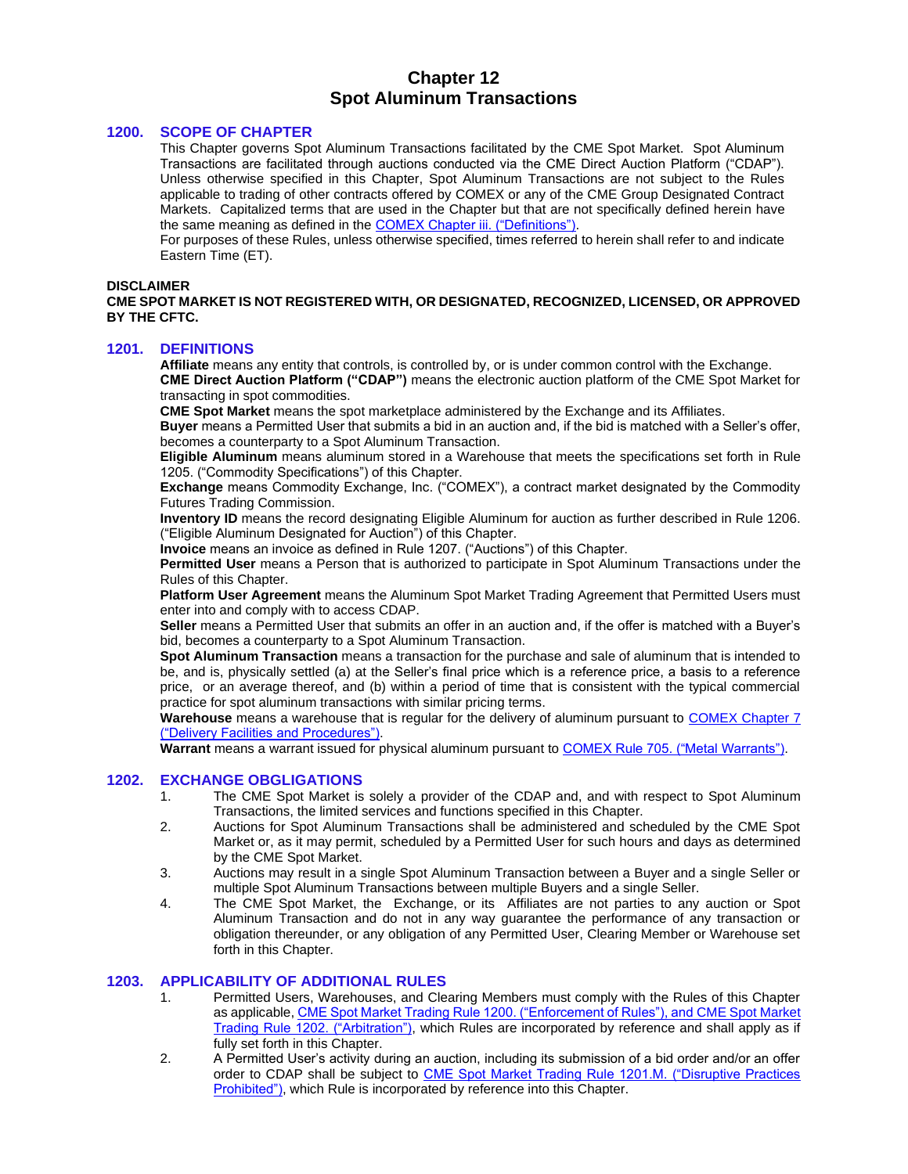# **Chapter 12 Spot Aluminum Transactions**

#### **1200. SCOPE OF CHAPTER**

This Chapter governs Spot Aluminum Transactions facilitated by the CME Spot Market. Spot Aluminum Transactions are facilitated through auctions conducted via the CME Direct Auction Platform ("CDAP"). Unless otherwise specified in this Chapter, Spot Aluminum Transactions are not subject to the Rules applicable to trading of other contracts offered by COMEX or any of the CME Group Designated Contract Markets. Capitalized terms that are used in the Chapter but that are not specifically defined herein have the same meaning as defined in the [COMEX Chapter iii. \("Definitions"\).](https://www.cmegroup.com/content/dam/cmegroup/rulebook/NYMEX/1/NYMEX-COMEX_Definitions.pdf)

For purposes of these Rules, unless otherwise specified, times referred to herein shall refer to and indicate Eastern Time (ET).

#### **DISCLAIMER**

**CME SPOT MARKET IS NOT REGISTERED WITH, OR DESIGNATED, RECOGNIZED, LICENSED, OR APPROVED BY THE CFTC.**

#### **1201. DEFINITIONS**

**Affiliate** means any entity that controls, is controlled by, or is under common control with the Exchange. **CME Direct Auction Platform ("CDAP")** means the electronic auction platform of the CME Spot Market for transacting in spot commodities.

**CME Spot Market** means the spot marketplace administered by the Exchange and its Affiliates.

**Buyer** means a Permitted User that submits a bid in an auction and, if the bid is matched with a Seller's offer, becomes a counterparty to a Spot Aluminum Transaction.

**Eligible Aluminum** means aluminum stored in a Warehouse that meets the specifications set forth in Rule 1205. ("Commodity Specifications") of this Chapter.

**Exchange** means Commodity Exchange, Inc. ("COMEX"), a contract market designated by the Commodity Futures Trading Commission.

**Inventory ID** means the record designating Eligible Aluminum for auction as further described in Rule 1206. ("Eligible Aluminum Designated for Auction") of this Chapter.

**Invoice** means an invoice as defined in Rule 1207. ("Auctions") of this Chapter.

**Permitted User** means a Person that is authorized to participate in Spot Aluminum Transactions under the Rules of this Chapter.

**Platform User Agreement** means the Aluminum Spot Market Trading Agreement that Permitted Users must enter into and comply with to access CDAP.

**Seller** means a Permitted User that submits an offer in an auction and, if the offer is matched with a Buyer's bid, becomes a counterparty to a Spot Aluminum Transaction.

**Spot Aluminum Transaction** means a transaction for the purchase and sale of aluminum that is intended to be, and is, physically settled (a) at the Seller's final price which is a reference price, a basis to a reference price, or an average thereof, and (b) within a period of time that is consistent with the typical commercial practice for spot aluminum transactions with similar pricing terms.

**Warehouse** means a warehouse that is regular for the delivery of aluminum pursuant to [COMEX Chapter 7](https://www.cmegroup.com/content/dam/cmegroup/rulebook/NYMEX/1/7.pdf)  [\("Delivery Facilities and Procedures"\).](https://www.cmegroup.com/content/dam/cmegroup/rulebook/NYMEX/1/7.pdf)

**Warrant** means a warrant issued for physical aluminum pursuant t[o COMEX Rule 705. \("Metal Warrants"\).](https://www.cmegroup.com/content/dam/cmegroup/rulebook/NYMEX/1/7.pdf)

#### **1202. EXCHANGE OBGLIGATIONS**

- 1. The CME Spot Market is solely a provider of the CDAP and, and with respect to Spot Aluminum Transactions, the limited services and functions specified in this Chapter.
- 2. Auctions for Spot Aluminum Transactions shall be administered and scheduled by the CME Spot Market or, as it may permit, scheduled by a Permitted User for such hours and days as determined by the CME Spot Market.
- 3. Auctions may result in a single Spot Aluminum Transaction between a Buyer and a single Seller or multiple Spot Aluminum Transactions between multiple Buyers and a single Seller.
- 4. The CME Spot Market, the Exchange, or its Affiliates are not parties to any auction or Spot Aluminum Transaction and do not in any way guarantee the performance of any transaction or obligation thereunder, or any obligation of any Permitted User, Clearing Member or Warehouse set forth in this Chapter.

#### **1203. APPLICABILITY OF ADDITIONAL RULES**

- 1. Permitted Users, Warehouses, and Clearing Members must comply with the Rules of this Chapter as applicable[, CME Spot Market Trading Rule 1200. \("Enforcement of Rules"\), and](https://www.cmegroup.com/content/dam/cmegroup/rulebook/CME/I/12.pdf) CME Spot Market [Trading Rule 1202. \("Arbitration"\),](https://www.cmegroup.com/content/dam/cmegroup/rulebook/CME/I/12.pdf) which Rules are incorporated by reference and shall apply as if fully set forth in this Chapter.
- 2. A Permitted User's activity during an auction, including its submission of a bid order and/or an offer order to CDAP shall be subject to CME Spot Market Trading Rule 1201.M. ("Disruptive Practices [Prohibited"\),](https://www.cmegroup.com/content/dam/cmegroup/rulebook/CME/I/12.pdf) which Rule is incorporated by reference into this Chapter.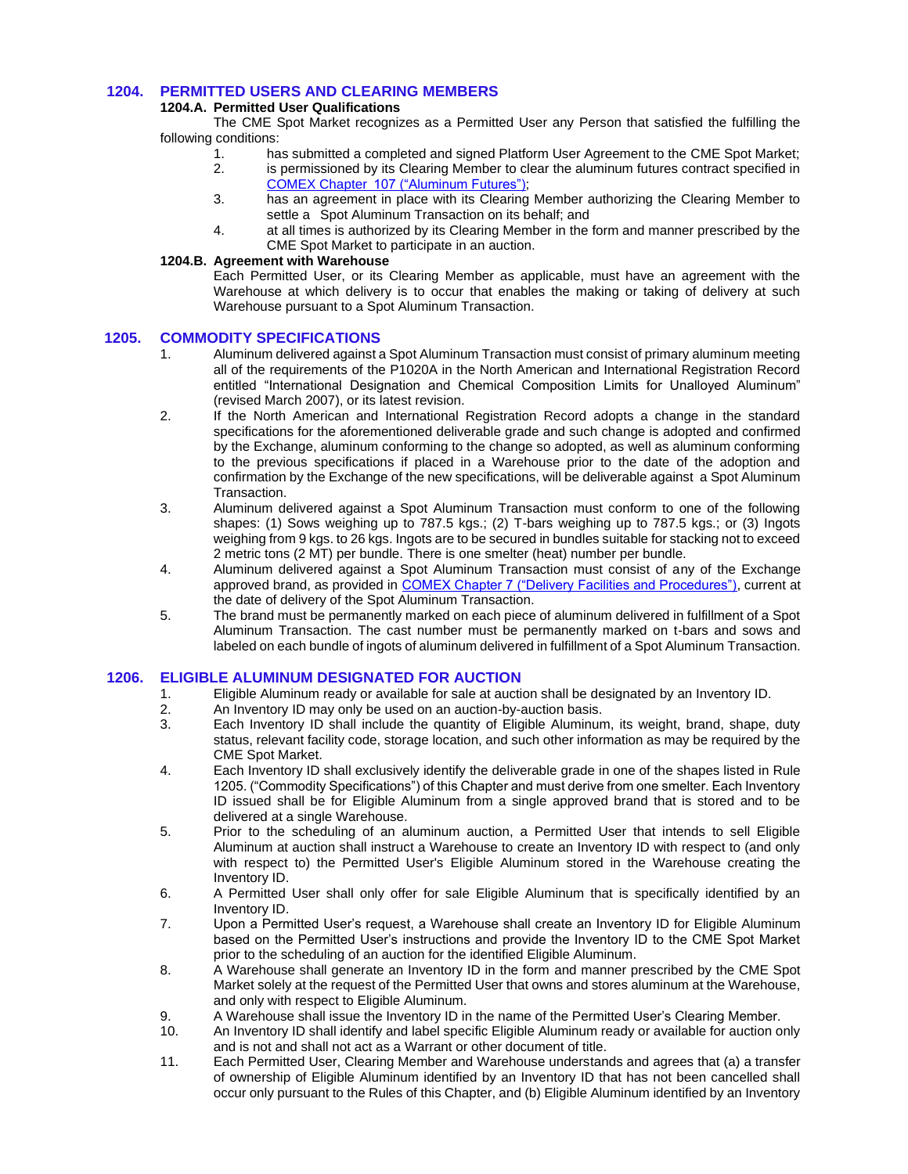# **1204. PERMITTED USERS AND CLEARING MEMBERS**

# **1204.A. Permitted User Qualifications**

The CME Spot Market recognizes as a Permitted User any Person that satisfied the fulfilling the following conditions:

- 1. has submitted a completed and signed Platform User Agreement to the CME Spot Market;
- 2. is permissioned by its Clearing Member to clear the aluminum futures contract specified in [COMEX Chapter 107 \("Aluminum Futures"\);](https://www.cmegroup.com/content/dam/cmegroup/rulebook/COMEX/1a/107.pdf)
- 3. has an agreement in place with its Clearing Member authorizing the Clearing Member to settle a Spot Aluminum Transaction on its behalf; and
- 4. at all times is authorized by its Clearing Member in the form and manner prescribed by the CME Spot Market to participate in an auction.

### **1204.B. Agreement with Warehouse**

Each Permitted User, or its Clearing Member as applicable, must have an agreement with the Warehouse at which delivery is to occur that enables the making or taking of delivery at such Warehouse pursuant to a Spot Aluminum Transaction.

### **1205. COMMODITY SPECIFICATIONS**

- 1. Aluminum delivered against a Spot Aluminum Transaction must consist of primary aluminum meeting all of the requirements of the P1020A in the North American and International Registration Record entitled "International Designation and Chemical Composition Limits for Unalloyed Aluminum" (revised March 2007), or its latest revision.
- 2. If the North American and International Registration Record adopts a change in the standard specifications for the aforementioned deliverable grade and such change is adopted and confirmed by the Exchange, aluminum conforming to the change so adopted, as well as aluminum conforming to the previous specifications if placed in a Warehouse prior to the date of the adoption and confirmation by the Exchange of the new specifications, will be deliverable against a Spot Aluminum Transaction.
- 3. Aluminum delivered against a Spot Aluminum Transaction must conform to one of the following shapes: (1) Sows weighing up to 787.5 kgs.; (2) T-bars weighing up to 787.5 kgs.; or (3) Ingots weighing from 9 kgs. to 26 kgs. Ingots are to be secured in bundles suitable for stacking not to exceed 2 metric tons (2 MT) per bundle. There is one smelter (heat) number per bundle.
- 4. Aluminum delivered against a Spot Aluminum Transaction must consist of any of the Exchange approved brand, as provided in [COMEX Chapter 7 \("Delivery Facilities and Procedures"\),](https://www.cmegroup.com/content/dam/cmegroup/rulebook/NYMEX/1/7.pdf) current at the date of delivery of the Spot Aluminum Transaction.
- 5. The brand must be permanently marked on each piece of aluminum delivered in fulfillment of a Spot Aluminum Transaction. The cast number must be permanently marked on t-bars and sows and labeled on each bundle of ingots of aluminum delivered in fulfillment of a Spot Aluminum Transaction.

# **1206. ELIGIBLE ALUMINUM DESIGNATED FOR AUCTION**

- 1. Eligible Aluminum ready or available for sale at auction shall be designated by an Inventory ID.
- 2. An Inventory ID may only be used on an auction-by-auction basis.<br>3. Each Inventory ID shall include the quantity of Eligible Aluminun
- Each Inventory ID shall include the quantity of Eligible Aluminum, its weight, brand, shape, duty status, relevant facility code, storage location, and such other information as may be required by the CME Spot Market.
- 4. Each Inventory ID shall exclusively identify the deliverable grade in one of the shapes listed in Rule 1205. ("Commodity Specifications") of this Chapter and must derive from one smelter. Each Inventory ID issued shall be for Eligible Aluminum from a single approved brand that is stored and to be delivered at a single Warehouse.
- 5. Prior to the scheduling of an aluminum auction, a Permitted User that intends to sell Eligible Aluminum at auction shall instruct a Warehouse to create an Inventory ID with respect to (and only with respect to) the Permitted User's Eligible Aluminum stored in the Warehouse creating the Inventory ID.
- 6. A Permitted User shall only offer for sale Eligible Aluminum that is specifically identified by an Inventory ID.
- 7. Upon a Permitted User's request, a Warehouse shall create an Inventory ID for Eligible Aluminum based on the Permitted User's instructions and provide the Inventory ID to the CME Spot Market prior to the scheduling of an auction for the identified Eligible Aluminum.
- 8. A Warehouse shall generate an Inventory ID in the form and manner prescribed by the CME Spot Market solely at the request of the Permitted User that owns and stores aluminum at the Warehouse, and only with respect to Eligible Aluminum.
- 9. A Warehouse shall issue the Inventory ID in the name of the Permitted User's Clearing Member.
- 10. An Inventory ID shall identify and label specific Eligible Aluminum ready or available for auction only and is not and shall not act as a Warrant or other document of title.
- 11. Each Permitted User, Clearing Member and Warehouse understands and agrees that (a) a transfer of ownership of Eligible Aluminum identified by an Inventory ID that has not been cancelled shall occur only pursuant to the Rules of this Chapter, and (b) Eligible Aluminum identified by an Inventory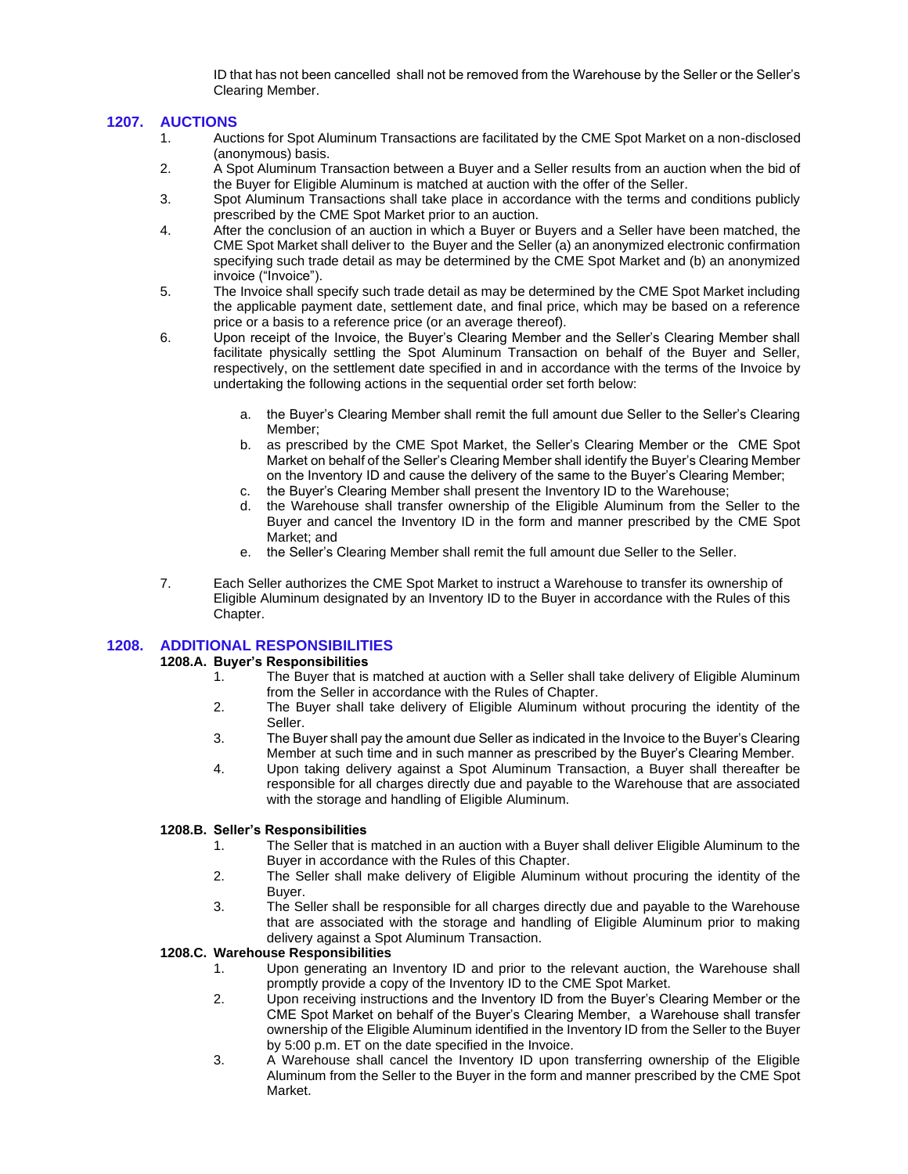ID that has not been cancelled shall not be removed from the Warehouse by the Seller or the Seller's Clearing Member.

### **1207. AUCTIONS**

- 1. Auctions for Spot Aluminum Transactions are facilitated by the CME Spot Market on a non-disclosed (anonymous) basis.
- 2. A Spot Aluminum Transaction between a Buyer and a Seller results from an auction when the bid of the Buyer for Eligible Aluminum is matched at auction with the offer of the Seller.
- 3. Spot Aluminum Transactions shall take place in accordance with the terms and conditions publicly prescribed by the CME Spot Market prior to an auction.
- 4. After the conclusion of an auction in which a Buyer or Buyers and a Seller have been matched, the CME Spot Market shall deliver to the Buyer and the Seller (a) an anonymized electronic confirmation specifying such trade detail as may be determined by the CME Spot Market and (b) an anonymized invoice ("Invoice").
- 5. The Invoice shall specify such trade detail as may be determined by the CME Spot Market including the applicable payment date, settlement date, and final price, which may be based on a reference price or a basis to a reference price (or an average thereof).
- 6. Upon receipt of the Invoice, the Buyer's Clearing Member and the Seller's Clearing Member shall facilitate physically settling the Spot Aluminum Transaction on behalf of the Buyer and Seller, respectively, on the settlement date specified in and in accordance with the terms of the Invoice by undertaking the following actions in the sequential order set forth below:
	- a. the Buyer's Clearing Member shall remit the full amount due Seller to the Seller's Clearing Member;
	- b. as prescribed by the CME Spot Market, the Seller's Clearing Member or the CME Spot Market on behalf of the Seller's Clearing Member shall identify the Buyer's Clearing Member on the Inventory ID and cause the delivery of the same to the Buyer's Clearing Member;
	- c. the Buyer's Clearing Member shall present the Inventory ID to the Warehouse;
	- d. the Warehouse shall transfer ownership of the Eligible Aluminum from the Seller to the Buyer and cancel the Inventory ID in the form and manner prescribed by the CME Spot Market; and
	- e. the Seller's Clearing Member shall remit the full amount due Seller to the Seller.
- 7. Each Seller authorizes the CME Spot Market to instruct a Warehouse to transfer its ownership of Eligible Aluminum designated by an Inventory ID to the Buyer in accordance with the Rules of this Chapter.

# **1208. ADDITIONAL RESPONSIBILITIES**

#### **1208.A. Buyer's Responsibilities**

- 1. The Buyer that is matched at auction with a Seller shall take delivery of Eligible Aluminum from the Seller in accordance with the Rules of Chapter.
- 2. The Buyer shall take delivery of Eligible Aluminum without procuring the identity of the Seller.
- 3. The Buyer shall pay the amount due Seller as indicated in the Invoice to the Buyer's Clearing Member at such time and in such manner as prescribed by the Buyer's Clearing Member.
- 4. Upon taking delivery against a Spot Aluminum Transaction, a Buyer shall thereafter be responsible for all charges directly due and payable to the Warehouse that are associated with the storage and handling of Eligible Aluminum.

#### **1208.B. Seller's Responsibilities**

- 1. The Seller that is matched in an auction with a Buyer shall deliver Eligible Aluminum to the Buyer in accordance with the Rules of this Chapter.
- 2. The Seller shall make delivery of Eligible Aluminum without procuring the identity of the Buyer.
- 3. The Seller shall be responsible for all charges directly due and payable to the Warehouse that are associated with the storage and handling of Eligible Aluminum prior to making delivery against a Spot Aluminum Transaction.

# **1208.C. Warehouse Responsibilities**

- 1. Upon generating an Inventory ID and prior to the relevant auction, the Warehouse shall promptly provide a copy of the Inventory ID to the CME Spot Market.
- 2. Upon receiving instructions and the Inventory ID from the Buyer's Clearing Member or the CME Spot Market on behalf of the Buyer's Clearing Member, a Warehouse shall transfer ownership of the Eligible Aluminum identified in the Inventory ID from the Seller to the Buyer by 5:00 p.m. ET on the date specified in the Invoice.
- 3. A Warehouse shall cancel the Inventory ID upon transferring ownership of the Eligible Aluminum from the Seller to the Buyer in the form and manner prescribed by the CME Spot Market.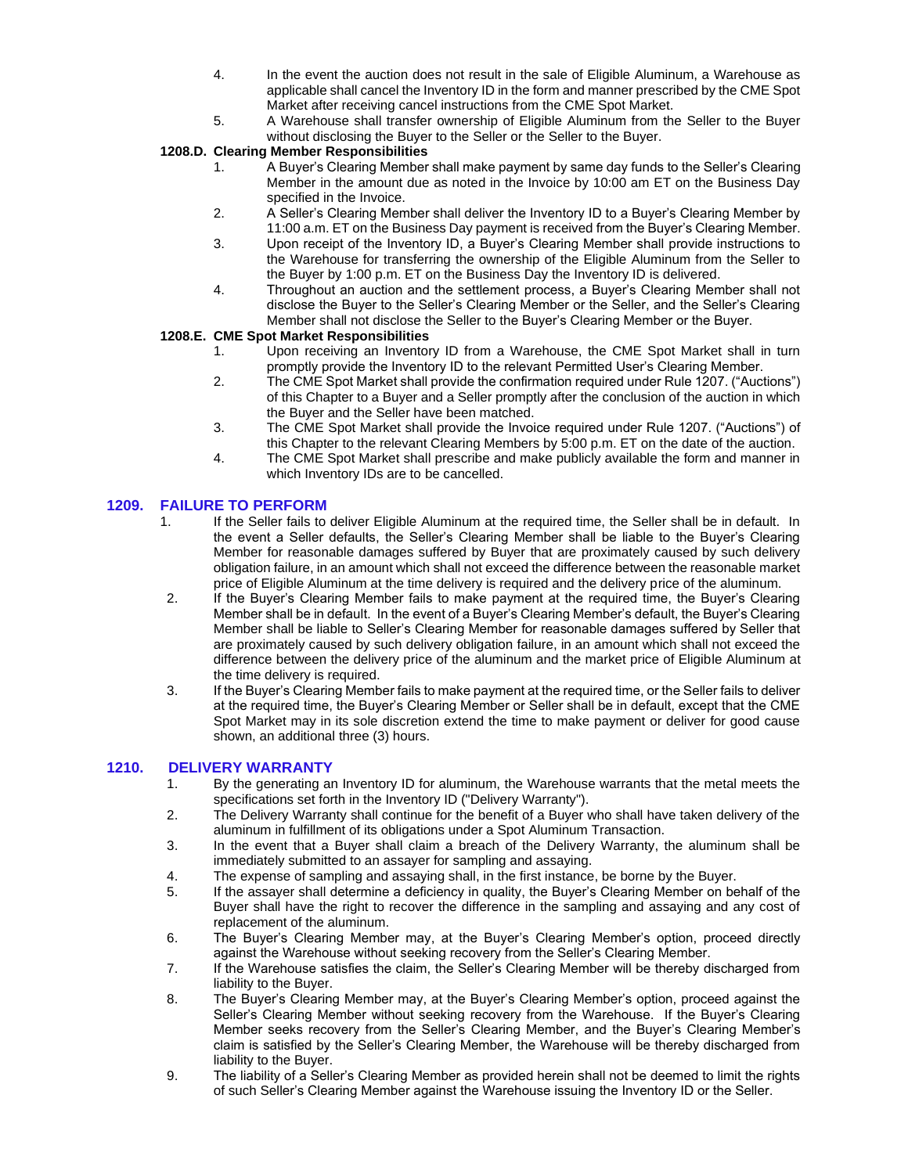- 4. In the event the auction does not result in the sale of Eligible Aluminum, a Warehouse as applicable shall cancel the Inventory ID in the form and manner prescribed by the CME Spot Market after receiving cancel instructions from the CME Spot Market.
- 5. A Warehouse shall transfer ownership of Eligible Aluminum from the Seller to the Buyer without disclosing the Buyer to the Seller or the Seller to the Buyer.

# **1208.D. Clearing Member Responsibilities**

- 1. A Buyer's Clearing Member shall make payment by same day funds to the Seller's Clearing Member in the amount due as noted in the Invoice by 10:00 am ET on the Business Day specified in the Invoice.
- 2. A Seller's Clearing Member shall deliver the Inventory ID to a Buyer's Clearing Member by 11:00 a.m. ET on the Business Day payment is received from the Buyer's Clearing Member.
- 3. Upon receipt of the Inventory ID, a Buyer's Clearing Member shall provide instructions to the Warehouse for transferring the ownership of the Eligible Aluminum from the Seller to the Buyer by 1:00 p.m. ET on the Business Day the Inventory ID is delivered.
- 4. Throughout an auction and the settlement process, a Buyer's Clearing Member shall not disclose the Buyer to the Seller's Clearing Member or the Seller, and the Seller's Clearing Member shall not disclose the Seller to the Buyer's Clearing Member or the Buyer.

# **1208.E. CME Spot Market Responsibilities**

- 1. Upon receiving an Inventory ID from a Warehouse, the CME Spot Market shall in turn promptly provide the Inventory ID to the relevant Permitted User's Clearing Member.
- 2. The CME Spot Market shall provide the confirmation required under Rule 1207. ("Auctions") of this Chapter to a Buyer and a Seller promptly after the conclusion of the auction in which the Buyer and the Seller have been matched.
- 3. The CME Spot Market shall provide the Invoice required under Rule 1207. ("Auctions") of this Chapter to the relevant Clearing Members by 5:00 p.m. ET on the date of the auction.
- 4. The CME Spot Market shall prescribe and make publicly available the form and manner in which Inventory IDs are to be cancelled.

# **1209. FAILURE TO PERFORM**

- 1. If the Seller fails to deliver Eligible Aluminum at the required time, the Seller shall be in default. In the event a Seller defaults, the Seller's Clearing Member shall be liable to the Buyer's Clearing Member for reasonable damages suffered by Buyer that are proximately caused by such delivery obligation failure, in an amount which shall not exceed the difference between the reasonable market price of Eligible Aluminum at the time delivery is required and the delivery price of the aluminum.
- 2. If the Buyer's Clearing Member fails to make payment at the required time, the Buyer's Clearing Member shall be in default. In the event of a Buyer's Clearing Member's default, the Buyer's Clearing Member shall be liable to Seller's Clearing Member for reasonable damages suffered by Seller that are proximately caused by such delivery obligation failure, in an amount which shall not exceed the difference between the delivery price of the aluminum and the market price of Eligible Aluminum at the time delivery is required.
- 3. If the Buyer's Clearing Member fails to make payment at the required time, or the Seller fails to deliver at the required time, the Buyer's Clearing Member or Seller shall be in default, except that the CME Spot Market may in its sole discretion extend the time to make payment or deliver for good cause shown, an additional three (3) hours.

# **1210. DELIVERY WARRANTY**

- 1. By the generating an Inventory ID for aluminum, the Warehouse warrants that the metal meets the specifications set forth in the Inventory ID ("Delivery Warranty").
- 2. The Delivery Warranty shall continue for the benefit of a Buyer who shall have taken delivery of the aluminum in fulfillment of its obligations under a Spot Aluminum Transaction.
- 3. In the event that a Buyer shall claim a breach of the Delivery Warranty, the aluminum shall be immediately submitted to an assayer for sampling and assaying.
- 4. The expense of sampling and assaying shall, in the first instance, be borne by the Buyer.
- 5. If the assayer shall determine a deficiency in quality, the Buyer's Clearing Member on behalf of the Buyer shall have the right to recover the difference in the sampling and assaying and any cost of replacement of the aluminum.
- 6. The Buyer's Clearing Member may, at the Buyer's Clearing Member's option, proceed directly against the Warehouse without seeking recovery from the Seller's Clearing Member.
- 7. If the Warehouse satisfies the claim, the Seller's Clearing Member will be thereby discharged from liability to the Buyer.
- 8. The Buyer's Clearing Member may, at the Buyer's Clearing Member's option, proceed against the Seller's Clearing Member without seeking recovery from the Warehouse. If the Buyer's Clearing Member seeks recovery from the Seller's Clearing Member, and the Buyer's Clearing Member's claim is satisfied by the Seller's Clearing Member, the Warehouse will be thereby discharged from liability to the Buyer.
- 9. The liability of a Seller's Clearing Member as provided herein shall not be deemed to limit the rights of such Seller's Clearing Member against the Warehouse issuing the Inventory ID or the Seller.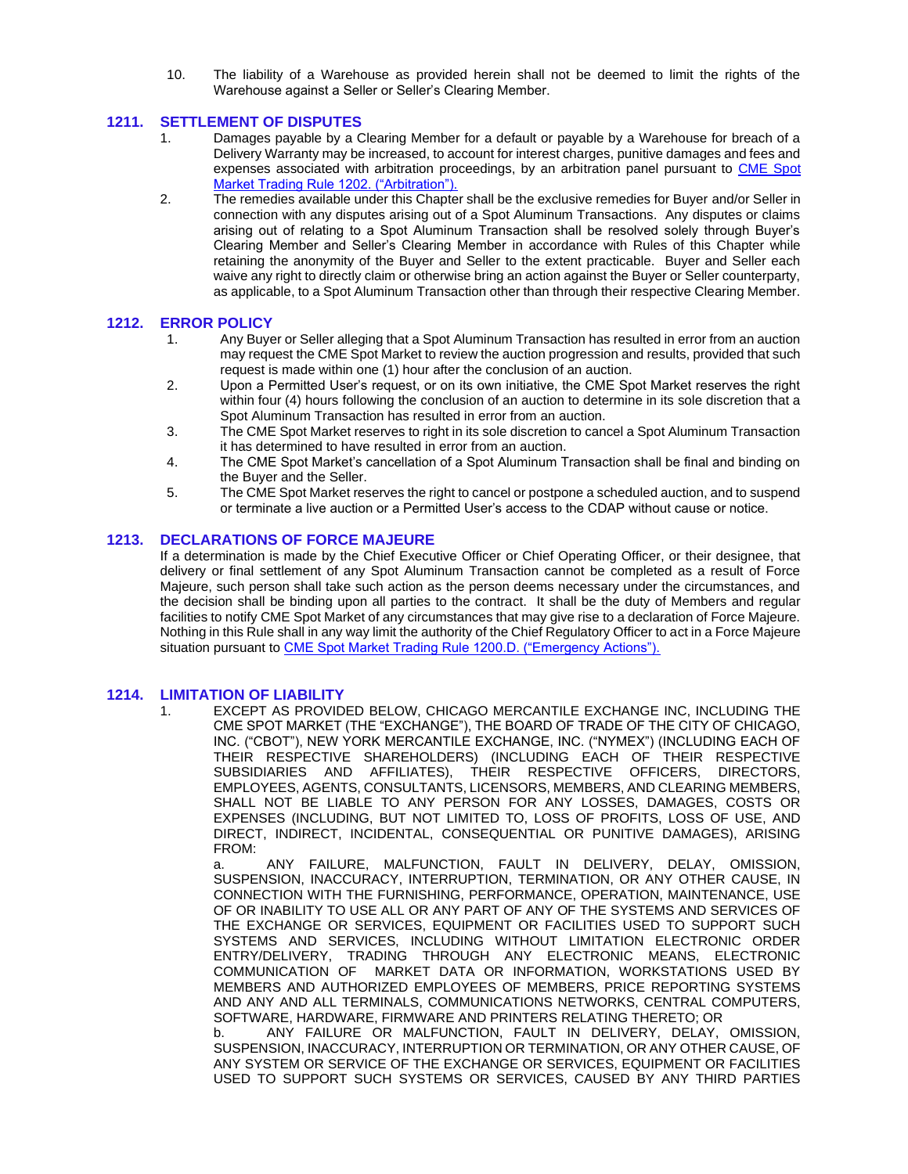10. The liability of a Warehouse as provided herein shall not be deemed to limit the rights of the Warehouse against a Seller or Seller's Clearing Member.

### **1211. SETTLEMENT OF DISPUTES**

- 1. Damages payable by a Clearing Member for a default or payable by a Warehouse for breach of a Delivery Warranty may be increased, to account for interest charges, punitive damages and fees and expenses associated with arbitration proceedings, by an arbitration panel pursuant to [CME Spot](https://www.cmegroup.com/content/dam/cmegroup/rulebook/CME/I/12.pdf)  [Market Trading Rule 1202. \("Arbitration"\).](https://www.cmegroup.com/content/dam/cmegroup/rulebook/CME/I/12.pdf)
- 2. The remedies available under this Chapter shall be the exclusive remedies for Buyer and/or Seller in connection with any disputes arising out of a Spot Aluminum Transactions. Any disputes or claims arising out of relating to a Spot Aluminum Transaction shall be resolved solely through Buyer's Clearing Member and Seller's Clearing Member in accordance with Rules of this Chapter while retaining the anonymity of the Buyer and Seller to the extent practicable. Buyer and Seller each waive any right to directly claim or otherwise bring an action against the Buyer or Seller counterparty, as applicable, to a Spot Aluminum Transaction other than through their respective Clearing Member.

### **1212. ERROR POLICY**

- 1. Any Buyer or Seller alleging that a Spot Aluminum Transaction has resulted in error from an auction may request the CME Spot Market to review the auction progression and results, provided that such request is made within one (1) hour after the conclusion of an auction.
- 2. Upon a Permitted User's request, or on its own initiative, the CME Spot Market reserves the right within four (4) hours following the conclusion of an auction to determine in its sole discretion that a Spot Aluminum Transaction has resulted in error from an auction.
- 3. The CME Spot Market reserves to right in its sole discretion to cancel a Spot Aluminum Transaction it has determined to have resulted in error from an auction.
- 4. The CME Spot Market's cancellation of a Spot Aluminum Transaction shall be final and binding on the Buyer and the Seller.
- 5. The CME Spot Market reserves the right to cancel or postpone a scheduled auction, and to suspend or terminate a live auction or a Permitted User's access to the CDAP without cause or notice.

#### **1213. DECLARATIONS OF FORCE MAJEURE**

If a determination is made by the Chief Executive Officer or Chief Operating Officer, or their designee, that delivery or final settlement of any Spot Aluminum Transaction cannot be completed as a result of Force Majeure, such person shall take such action as the person deems necessary under the circumstances, and the decision shall be binding upon all parties to the contract. It shall be the duty of Members and regular facilities to notify CME Spot Market of any circumstances that may give rise to a declaration of Force Majeure. Nothing in this Rule shall in any way limit the authority of the Chief Regulatory Officer to act in a Force Majeure situation pursuant t[o CME Spot Market Trading Rule 1200.D. \("Emergency Actions"\).](https://www.cmegroup.com/content/dam/cmegroup/rulebook/CME/I/12.pdf)

#### **1214. LIMITATION OF LIABILITY**

1. EXCEPT AS PROVIDED BELOW, CHICAGO MERCANTILE EXCHANGE INC, INCLUDING THE CME SPOT MARKET (THE "EXCHANGE"), THE BOARD OF TRADE OF THE CITY OF CHICAGO, INC. ("CBOT"), NEW YORK MERCANTILE EXCHANGE, INC. ("NYMEX") (INCLUDING EACH OF THEIR RESPECTIVE SHAREHOLDERS) (INCLUDING EACH OF THEIR RESPECTIVE SUBSIDIARIES AND AFFILIATES), THEIR RESPECTIVE OFFICERS, DIRECTORS, EMPLOYEES, AGENTS, CONSULTANTS, LICENSORS, MEMBERS, AND CLEARING MEMBERS, SHALL NOT BE LIABLE TO ANY PERSON FOR ANY LOSSES, DAMAGES, COSTS OR EXPENSES (INCLUDING, BUT NOT LIMITED TO, LOSS OF PROFITS, LOSS OF USE, AND DIRECT, INDIRECT, INCIDENTAL, CONSEQUENTIAL OR PUNITIVE DAMAGES), ARISING FROM:

ANY FAILURE, MALFUNCTION, FAULT IN DELIVERY, DELAY, OMISSION, SUSPENSION, INACCURACY, INTERRUPTION, TERMINATION, OR ANY OTHER CAUSE, IN CONNECTION WITH THE FURNISHING, PERFORMANCE, OPERATION, MAINTENANCE, USE OF OR INABILITY TO USE ALL OR ANY PART OF ANY OF THE SYSTEMS AND SERVICES OF THE EXCHANGE OR SERVICES, EQUIPMENT OR FACILITIES USED TO SUPPORT SUCH SYSTEMS AND SERVICES, INCLUDING WITHOUT LIMITATION ELECTRONIC ORDER ENTRY/DELIVERY, TRADING THROUGH ANY ELECTRONIC MEANS, ELECTRONIC COMMUNICATION OF MARKET DATA OR INFORMATION, WORKSTATIONS USED BY MEMBERS AND AUTHORIZED EMPLOYEES OF MEMBERS, PRICE REPORTING SYSTEMS AND ANY AND ALL TERMINALS, COMMUNICATIONS NETWORKS, CENTRAL COMPUTERS, SOFTWARE, HARDWARE, FIRMWARE AND PRINTERS RELATING THERETO; OR

b. ANY FAILURE OR MALFUNCTION, FAULT IN DELIVERY, DELAY, OMISSION, SUSPENSION, INACCURACY, INTERRUPTION OR TERMINATION, OR ANY OTHER CAUSE, OF ANY SYSTEM OR SERVICE OF THE EXCHANGE OR SERVICES, EQUIPMENT OR FACILITIES USED TO SUPPORT SUCH SYSTEMS OR SERVICES, CAUSED BY ANY THIRD PARTIES